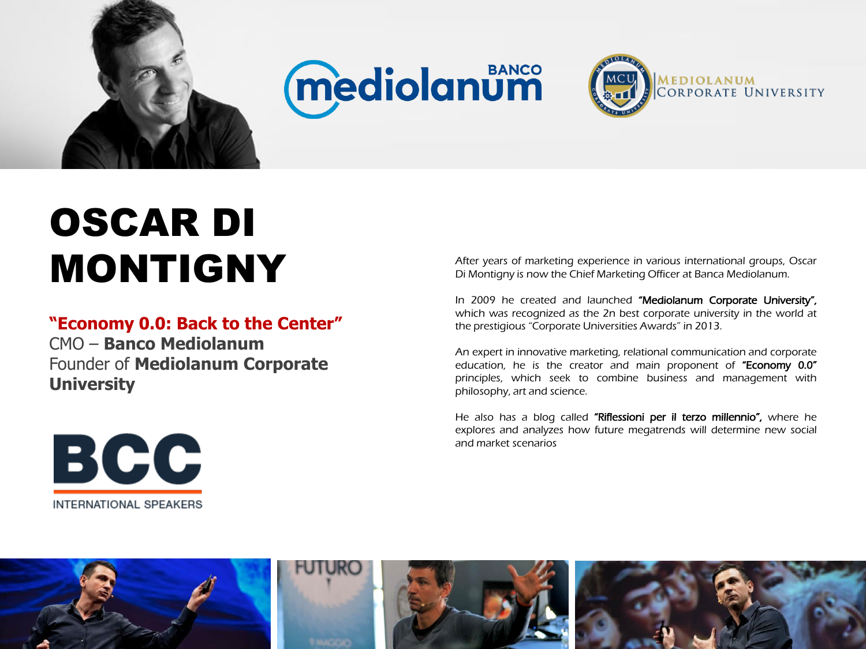

## **Mediolanum**



## OSCAR DI MONTIGNY

## **"Economy 0.0: Back to the Center"**

CMO – **Banco Mediolanum** Founder of **Mediolanum Corporate University**



In 2009 he created and launched "Mediolanum Corporate University", which was recognized as the 2n best corporate university in the world at the prestigious "Corporate Universities Awards" in 2013.

An expert in innovative marketing, relational communication and corporate education, he is the creator and main proponent of "Economy 0.0" principles, which seek to combine business and management with philosophy, art and science.

He also has a blog called "Riflessioni per il terzo millennio", where he explores and analyzes how future megatrends will determine new social and market scenarios